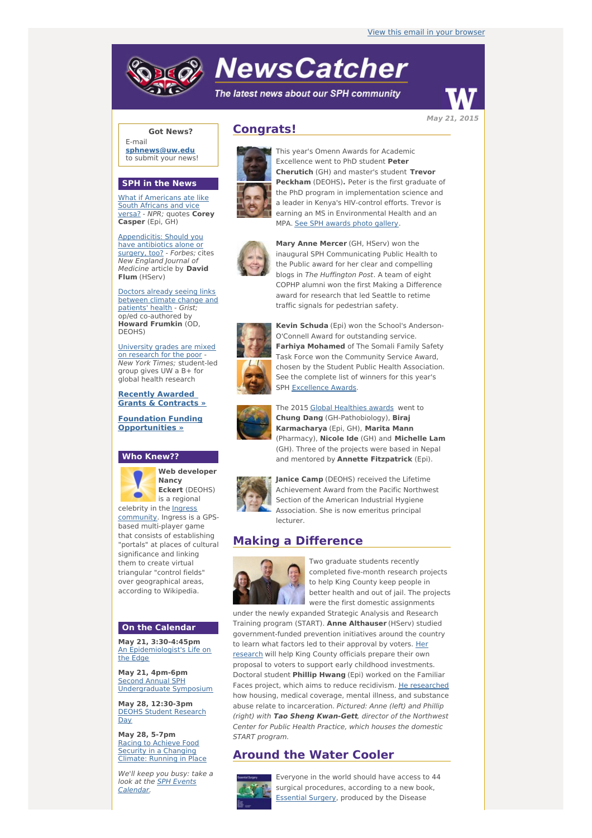# **NewsCatcher**

The latest news about our SPH community



**Got News?**

E-mail **[sphnews@uw.edu](mailto:sphnews@uw.edu)** to submit your news!

#### **SPH in the News**

What if [Americans](http://engage.washington.edu/site/R?i=zbrLC9GosnQPfb39pwhY1Q) ate like South Africans and vice versa? - NPR; quotes **Corey Casper** (Epi, GH)

[Appendicitis:](http://engage.washington.edu/site/R?i=3ofNtFsuyT3ouLc0CN6J0w) Should you have antibiotics alone or surgery, too? - Forbes; cites New England Journal of Medicine article by **David Flum** (HServ)

Doctors already seeing links [between](http://engage.washington.edu/site/R?i=tFx9tdlCLfZ51FXBHP4omg) climate change and patients' health - Grist; op/ed co-authored by **Howard Frumkin** (OD, DEOHS)

[University](http://engage.washington.edu/site/R?i=Ev67N9s8HBiSJfBDbVP3EQ) grades are mixed on research for the poor - New York Times; student-led group gives UW a B+ for global health research

**Recently Awarded Grants & [Contracts](http://engage.washington.edu/site/R?i=EMhJlkQOV9V14fhba1AYDg) »**

**Foundation Funding [Opportunities](http://engage.washington.edu/site/R?i=UmY_eMYWsJmOtBdsErNnEg) »**

#### **Who Knew??**



**Nancy Eckert** (DEOHS) is a regional

[community.](http://engage.washington.edu/site/R?i=r27DW5rMfNb2gWCYrl0jow) Ingress is a GPSbased multi-player game that consists of establishing "portals" at places of cultural significance and linking them to create virtual triangular "control fields" over geographical areas, according to Wikipedia.

## **On the Calendar**

**May 21, 3:30-4:45pm** An [Epidemiologist's](http://engage.washington.edu/site/R?i=gGK2YOQHt0ucAtkm3PXaCQ) Life on the Edge

**May 21, 4pm-6pm** Second Annual SPH [Undergraduate](http://engage.washington.edu/site/R?i=_kwvuKQTO-qFcWL8YPInQg) Symposium

**May 28, 12:30-3pm** DEOHS Student [Research](http://engage.washington.edu/site/R?i=mGro3CddVCYDuUX2_Fawig) Day

**May 28, 5-7pm** Racing to Achieve Food **Security in a [Changing](http://engage.washington.edu/site/R?i=Jpdvgk3r_6viXrxFdaTNZA)** Climate: Running in Place

We'll keep you busy: take a look at the **SPH Events** [Calendar.](http://engage.washington.edu/site/R?i=OlAcXdnL2Ja2LiRplouMVg)

# **Congrats!**



This year's Omenn Awards for Academic Excellence went to PhD student **Peter Cherutich** (GH) and master's student **Trevor Peckham** (DEOHS)**.** Peter is the first graduate of the PhD program in implementation science and a leader in Kenya's HIV-control efforts. Trevor is earning an MS in Environmental Health and an MPA. See SPH [awards](http://engage.washington.edu/site/R?i=yj7Kj9oH0izyMAR6YUfPOw) photo gallery.



**Mary Anne Mercer** (GH, HServ) won the inaugural SPH Communicating Public Health to the Public award for her clear and compelling blogs in The Huffington Post. A team of eight COPHP alumni won the first Making a Difference award for research that led Seattle to retime traffic signals for pedestrian safety.



**Kevin Schuda** (Epi) won the School's Anderson-O'Connell Award for outstanding service. **Farhiya Mohamed** of The Somali Family Safety Task Force won the Community Service Award, chosen by the Student Public Health Association. See the complete list of winners for this year's SPH [Excellence](http://engage.washington.edu/site/R?i=Vi4_PYEpyojapjzIj9suoA) Awards.



The 2015 Global [Healthies](http://engage.washington.edu/site/R?i=vUCEYZs2WO27hI94FI-PIA) awards went to **Chung Dang** (GH-Pathobiology), **Biraj Karmacharya** (Epi, GH), **Marita Mann** (Pharmacy), **Nicole Ide** (GH) and **Michelle Lam** (GH). Three of the projects were based in Nepal and mentored by **Annette Fitzpatrick** (Epi).



**Janice Camp** (DEOHS) received the Lifetime Achievement Award from the Pacific Northwest Section of the American Industrial Hygiene Association. She is now emeritus principal lecturer.

# **Making a Difference**



Two graduate students recently completed five-month research projects to help King County keep people in better health and out of jail. The projects were the first domestic assignments

under the newly expanded Strategic Analysis and Research Training program (START). **Anne Althauser** (HServ) studied government-funded prevention initiatives around the country to learn what factors led to their [approval](http://engage.washington.edu/site/R?i=jX8IZl1Z7v46v1GJdBbemg) by voters. Her research will help King County officials prepare their own proposal to voters to support early childhood investments. Doctoral student **Phillip Hwang** (Epi) worked on the Familiar Faces project, which aims to reduce recidivism. He [researched](http://engage.washington.edu/site/R?i=7MVYxppNamkmlDeugZgmAA) how housing, medical coverage, mental illness, and substance abuse relate to incarceration. Pictured: Anne (left) and Phillip (right) with **Tao Sheng Kwan-Gett**, director of the Northwest Center for Public Health Practice, which houses the domestic START program.

## **Around the Water Cooler**



Everyone in the world should have access to 44 surgical procedures, according to a new book, **[Essential](http://engage.washington.edu/site/R?i=T5EuFL3CYrr7_l33n91Oog) Surgery, produced by the Disease** 



**May 21, 2015**